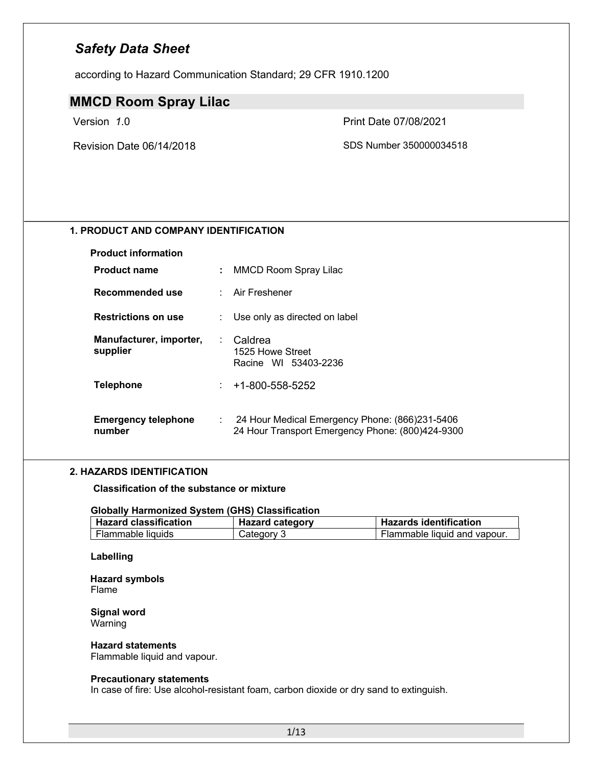according to Hazard Communication Standard; 29 CFR 1910.1200

### **MMCD Room Spray Lilac**

Version *1*.0 Print Date 07/08/2021

Revision Date 06/14/2018 SDS Number 350000034518

### **1. PRODUCT AND COMPANY IDENTIFICATION**

| <b>Product information</b>           |      |                                                                                                    |
|--------------------------------------|------|----------------------------------------------------------------------------------------------------|
| <b>Product name</b>                  | ÷.   | <b>MMCD Room Spray Lilac</b>                                                                       |
| Recommended use                      |      | Air Freshener                                                                                      |
| <b>Restrictions on use</b>           |      | Use only as directed on label                                                                      |
| Manufacturer, importer,<br>supplier  |      | Caldrea<br>1525 Howe Street<br>Racine WI 53403-2236                                                |
| <b>Telephone</b>                     |      | $\pm 1-800-558-5252$                                                                               |
| <b>Emergency telephone</b><br>number | t in | 24 Hour Medical Emergency Phone: (866)231-5406<br>24 Hour Transport Emergency Phone: (800)424-9300 |

#### **2. HAZARDS IDENTIFICATION**

**Classification of the substance or mixture**

#### **Globally Harmonized System (GHS) Classification**

| <b>Hazard classification</b> | <b>Hazard category</b> | <b>Hazards identification</b> |
|------------------------------|------------------------|-------------------------------|
| Flammable liquids            | Category 3             | Flammable liquid and vapour.  |

#### **Labelling**

#### **Hazard symbols** Flame

**Signal word** Warning

#### **Hazard statements**

Flammable liquid and vapour.

#### **Precautionary statements**

In case of fire: Use alcohol-resistant foam, carbon dioxide or dry sand to extinguish.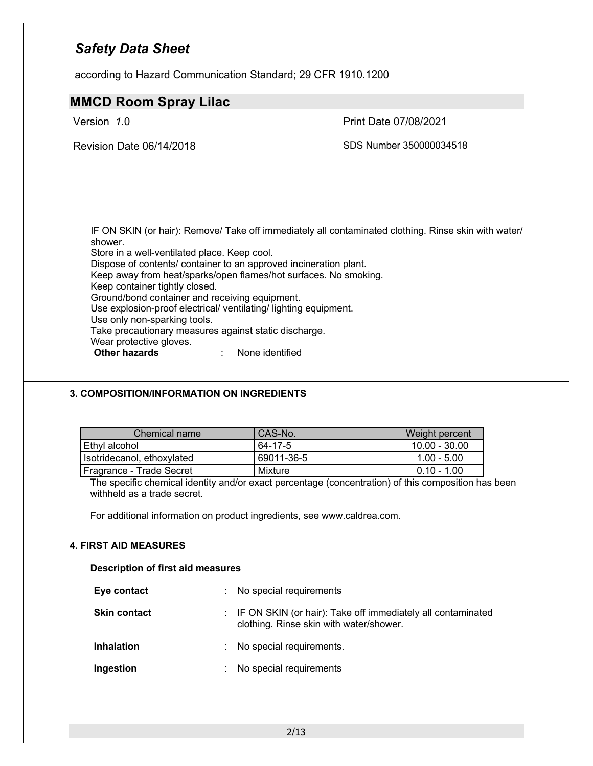according to Hazard Communication Standard; 29 CFR 1910.1200

### **MMCD Room Spray Lilac**

Version *1*.0 Print Date 07/08/2021

Revision Date 06/14/2018 SDS Number 350000034518

IF ON SKIN (or hair): Remove/ Take off immediately all contaminated clothing. Rinse skin with water/ shower. Store in a well-ventilated place. Keep cool.

Dispose of contents/ container to an approved incineration plant.

Keep away from heat/sparks/open flames/hot surfaces. No smoking.

Keep container tightly closed.

Ground/bond container and receiving equipment.

Use explosion-proof electrical/ ventilating/ lighting equipment.

Use only non-sparking tools.

Take precautionary measures against static discharge.

Wear protective gloves.<br>**Other hazards** 

**Other hazards** : None identified

### **3. COMPOSITION/INFORMATION ON INGREDIENTS**

| Chemical name              | CAS-No.    | Weight percent  |
|----------------------------|------------|-----------------|
| Ethyl alcohol              | 64-17-5    | $10.00 - 30.00$ |
| Isotridecanol, ethoxylated | 69011-36-5 | $1.00 - 5.00$   |
| Fragrance - Trade Secret   | Mixture    | $0.10 - 1.00$   |

The specific chemical identity and/or exact percentage (concentration) of this composition has been withheld as a trade secret.

For additional information on product ingredients, see www.caldrea.com.

### **4. FIRST AID MEASURES**

**Description of first aid measures**

| Eye contact         | ÷. | No special requirements                                                                                  |
|---------------------|----|----------------------------------------------------------------------------------------------------------|
| <b>Skin contact</b> |    | : IF ON SKIN (or hair): Take off immediately all contaminated<br>clothing. Rinse skin with water/shower. |
| <b>Inhalation</b>   | ÷. | No special requirements.                                                                                 |
| Ingestion           |    | No special requirements                                                                                  |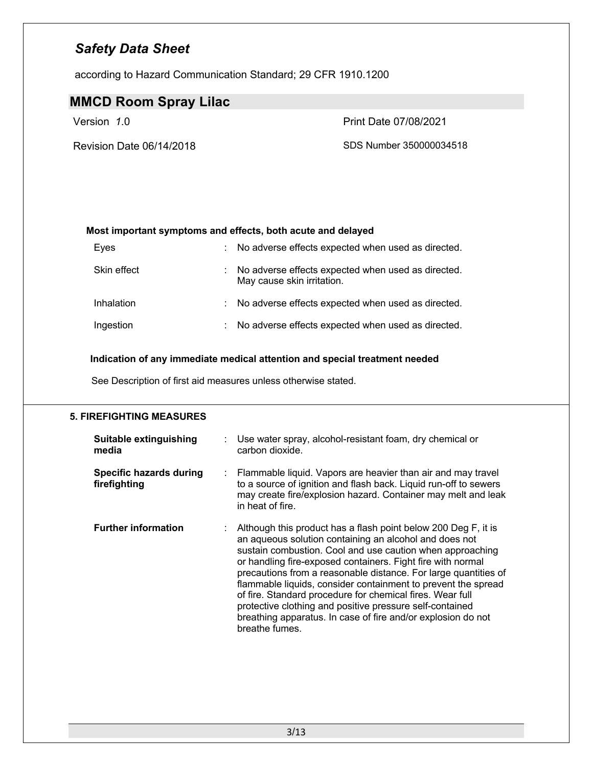according to Hazard Communication Standard; 29 CFR 1910.1200

### **MMCD Room Spray Lilac**

Version *1*.0 Print Date 07/08/2021

Revision Date 06/14/2018 SDS Number 350000034518

### **Most important symptoms and effects, both acute and delayed**

| Eyes        |    | : No adverse effects expected when used as directed.                             |
|-------------|----|----------------------------------------------------------------------------------|
| Skin effect |    | No adverse effects expected when used as directed.<br>May cause skin irritation. |
| Inhalation  | t. | No adverse effects expected when used as directed.                               |
| Ingestion   | ÷. | No adverse effects expected when used as directed.                               |

#### **Indication of any immediate medical attention and special treatment needed**

See Description of first aid measures unless otherwise stated.

### **5. FIREFIGHTING MEASURES**

| <b>Suitable extinguishing</b><br>media         | Use water spray, alcohol-resistant foam, dry chemical or<br>carbon dioxide.                                                                                                                                                                                                                                                                                                                                                                                                                                                                                                                         |
|------------------------------------------------|-----------------------------------------------------------------------------------------------------------------------------------------------------------------------------------------------------------------------------------------------------------------------------------------------------------------------------------------------------------------------------------------------------------------------------------------------------------------------------------------------------------------------------------------------------------------------------------------------------|
| <b>Specific hazards during</b><br>firefighting | : Flammable liquid. Vapors are heavier than air and may travel<br>to a source of ignition and flash back. Liquid run-off to sewers<br>may create fire/explosion hazard. Container may melt and leak<br>in heat of fire.                                                                                                                                                                                                                                                                                                                                                                             |
| <b>Further information</b>                     | Although this product has a flash point below 200 Deg F, it is<br>an aqueous solution containing an alcohol and does not<br>sustain combustion. Cool and use caution when approaching<br>or handling fire-exposed containers. Fight fire with normal<br>precautions from a reasonable distance. For large quantities of<br>flammable liquids, consider containment to prevent the spread<br>of fire. Standard procedure for chemical fires. Wear full<br>protective clothing and positive pressure self-contained<br>breathing apparatus. In case of fire and/or explosion do not<br>breathe fumes. |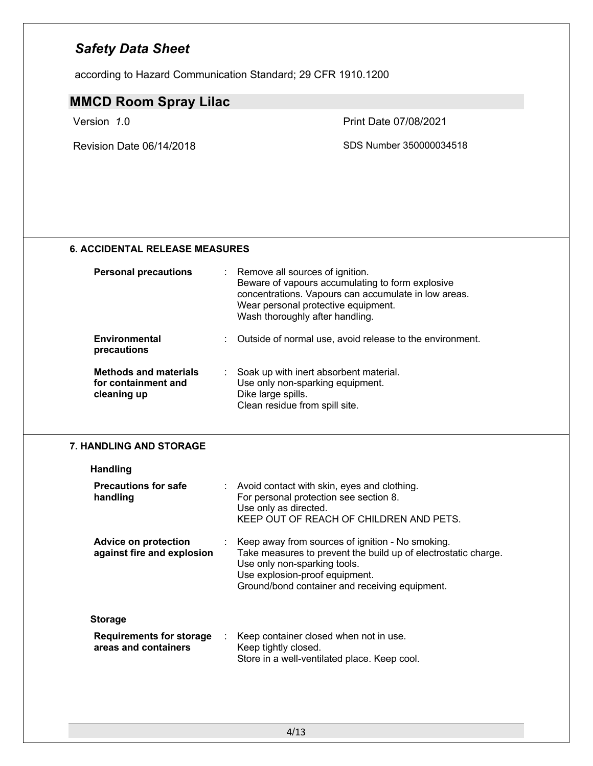according to Hazard Communication Standard; 29 CFR 1910.1200

### **MMCD Room Spray Lilac**

Revision Date 06/14/2018 SDS Number 350000034518

Version *1*.0 Print Date 07/08/2021

### **6. ACCIDENTAL RELEASE MEASURES**

| <b>Personal precautions</b>                                        | t. | Remove all sources of ignition.<br>Beware of vapours accumulating to form explosive<br>concentrations. Vapours can accumulate in low areas.<br>Wear personal protective equipment.<br>Wash thoroughly after handling. |
|--------------------------------------------------------------------|----|-----------------------------------------------------------------------------------------------------------------------------------------------------------------------------------------------------------------------|
| Environmental<br>precautions                                       |    | Outside of normal use, avoid release to the environment.                                                                                                                                                              |
| <b>Methods and materials</b><br>for containment and<br>cleaning up |    | Soak up with inert absorbent material.<br>Use only non-sparking equipment.<br>Dike large spills.                                                                                                                      |

Clean residue from spill site.

#### **7. HANDLING AND STORAGE**

| <b>Handling</b>                                         |    |                                                                                                                                                                                                                                          |
|---------------------------------------------------------|----|------------------------------------------------------------------------------------------------------------------------------------------------------------------------------------------------------------------------------------------|
| <b>Precautions for safe</b><br>handling                 |    | : Avoid contact with skin, eyes and clothing.<br>For personal protection see section 8.<br>Use only as directed.<br>KEEP OUT OF REACH OF CHILDREN AND PETS.                                                                              |
| Advice on protection<br>against fire and explosion      |    | : Keep away from sources of ignition - No smoking.<br>Take measures to prevent the build up of electrostatic charge.<br>Use only non-sparking tools.<br>Use explosion-proof equipment.<br>Ground/bond container and receiving equipment. |
| <b>Storage</b>                                          |    |                                                                                                                                                                                                                                          |
| <b>Requirements for storage</b><br>areas and containers | ÷. | Keep container closed when not in use.<br>Keep tightly closed.<br>Store in a well-ventilated place. Keep cool.                                                                                                                           |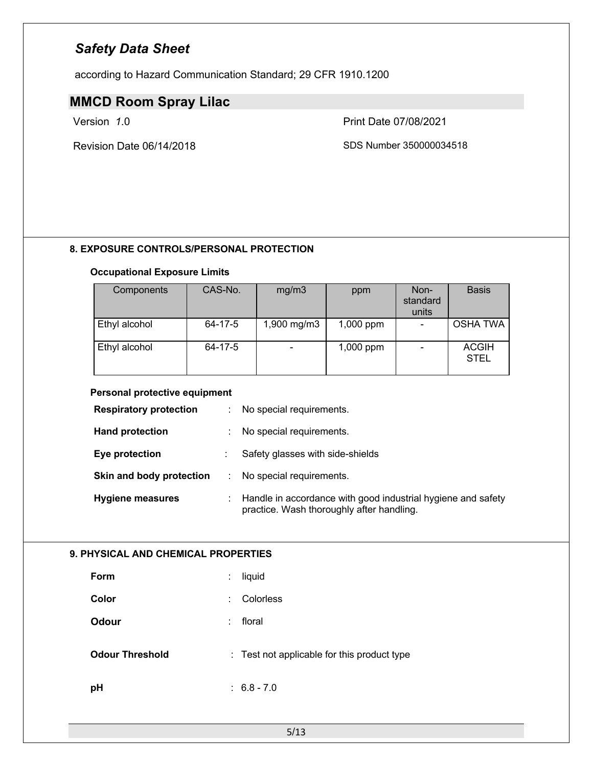according to Hazard Communication Standard; 29 CFR 1910.1200

### **MMCD Room Spray Lilac**

Revision Date 06/14/2018 SDS Number 350000034518

Version *1*.0 Print Date 07/08/2021

### **8. EXPOSURE CONTROLS/PERSONAL PROTECTION**

### **Occupational Exposure Limits**

| Components    | CAS-No. | mg/m3       | ppm         | Non-<br>standard<br>units | <b>Basis</b>                |
|---------------|---------|-------------|-------------|---------------------------|-----------------------------|
| Ethyl alcohol | 64-17-5 | 1,900 mg/m3 | $1,000$ ppm |                           | <b>OSHA TWA</b>             |
| Ethyl alcohol | 64-17-5 |             | $1,000$ ppm |                           | <b>ACGIH</b><br><b>STEL</b> |

#### **Personal protective equipment**

| <b>Respiratory protection</b> | ÷. | No special requirements.                                                                                  |
|-------------------------------|----|-----------------------------------------------------------------------------------------------------------|
| <b>Hand protection</b>        | ÷. | No special requirements.                                                                                  |
| Eye protection                |    | Safety glasses with side-shields                                                                          |
| Skin and body protection      | ÷. | No special requirements.                                                                                  |
| <b>Hygiene measures</b>       |    | Handle in accordance with good industrial hygiene and safety<br>practice. Wash thoroughly after handling. |

### **9. PHYSICAL AND CHEMICAL PROPERTIES**

| <b>Form</b>            | liquid<br>÷                                 |
|------------------------|---------------------------------------------|
| Color                  | Colorless<br>÷                              |
| <b>Odour</b>           | floral<br>÷                                 |
| <b>Odour Threshold</b> | : Test not applicable for this product type |
| pH                     | $: 6.8 - 7.0$                               |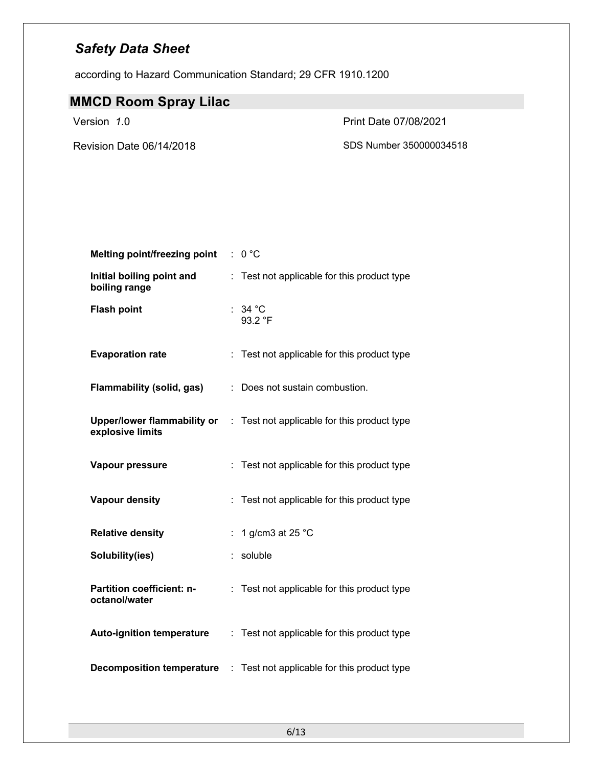according to Hazard Communication Standard; 29 CFR 1910.1200

# **MMCD Room Spray Lilac**

Version *1*.0 Print Date 07/08/2021

Revision Date 06/14/2018 SDS Number 350000034518

| <b>Melting point/freezing point</b>                    | : 0 °C                                          |
|--------------------------------------------------------|-------------------------------------------------|
| Initial boiling point and<br>boiling range             | Test not applicable for this product type<br>÷. |
| <b>Flash point</b>                                     | : 34 °C<br>93.2 $\degree$ F                     |
| <b>Evaporation rate</b>                                | Test not applicable for this product type       |
| <b>Flammability (solid, gas)</b>                       | Does not sustain combustion.                    |
| <b>Upper/lower flammability or</b><br>explosive limits | : Test not applicable for this product type     |
| Vapour pressure                                        | : Test not applicable for this product type     |
| <b>Vapour density</b>                                  | : Test not applicable for this product type     |
| <b>Relative density</b>                                | 1 g/cm3 at 25 °C<br>÷                           |
| Solubility(ies)                                        | soluble                                         |
| <b>Partition coefficient: n-</b><br>octanol/water      | Test not applicable for this product type<br>÷. |
| <b>Auto-ignition temperature</b>                       | : Test not applicable for this product type     |
| <b>Decomposition temperature</b>                       | : Test not applicable for this product type     |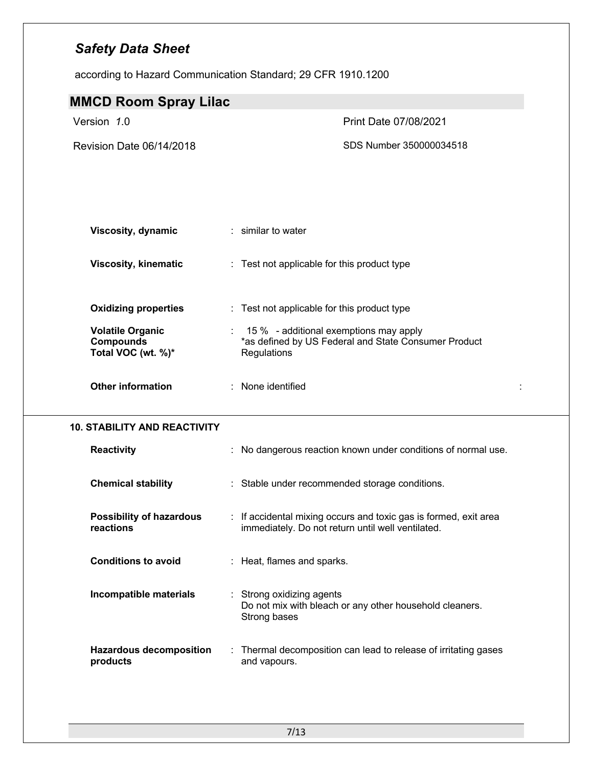according to Hazard Communication Standard; 29 CFR 1910.1200

| <b>MMCD Room Spray Lilac</b>                                      |                                                                                                                       |        |
|-------------------------------------------------------------------|-----------------------------------------------------------------------------------------------------------------------|--------|
| Version 1.0                                                       | Print Date 07/08/2021                                                                                                 |        |
| Revision Date 06/14/2018                                          | SDS Number 350000034518                                                                                               |        |
|                                                                   |                                                                                                                       |        |
|                                                                   |                                                                                                                       |        |
| <b>Viscosity, dynamic</b>                                         | : similar to water                                                                                                    |        |
| <b>Viscosity, kinematic</b>                                       | : Test not applicable for this product type                                                                           |        |
| <b>Oxidizing properties</b>                                       | : Test not applicable for this product type                                                                           |        |
| <b>Volatile Organic</b><br><b>Compounds</b><br>Total VOC (wt. %)* | : 15 % - additional exemptions may apply<br>*as defined by US Federal and State Consumer Product<br>Regulations       |        |
| <b>Other information</b>                                          | : None identified                                                                                                     | $\sim$ |
| <b>10. STABILITY AND REACTIVITY</b>                               |                                                                                                                       |        |
| <b>Reactivity</b>                                                 | : No dangerous reaction known under conditions of normal use.                                                         |        |
| <b>Chemical stability</b>                                         | : Stable under recommended storage conditions.                                                                        |        |
| <b>Possibility of hazardous</b><br>reactions                      | : If accidental mixing occurs and toxic gas is formed, exit area<br>immediately. Do not return until well ventilated. |        |
| <b>Conditions to avoid</b>                                        | : Heat, flames and sparks.                                                                                            |        |
| Incompatible materials                                            | Strong oxidizing agents<br>Do not mix with bleach or any other household cleaners.<br>Strong bases                    |        |
| <b>Hazardous decomposition</b><br>products                        | Thermal decomposition can lead to release of irritating gases<br>and vapours.                                         |        |
|                                                                   |                                                                                                                       |        |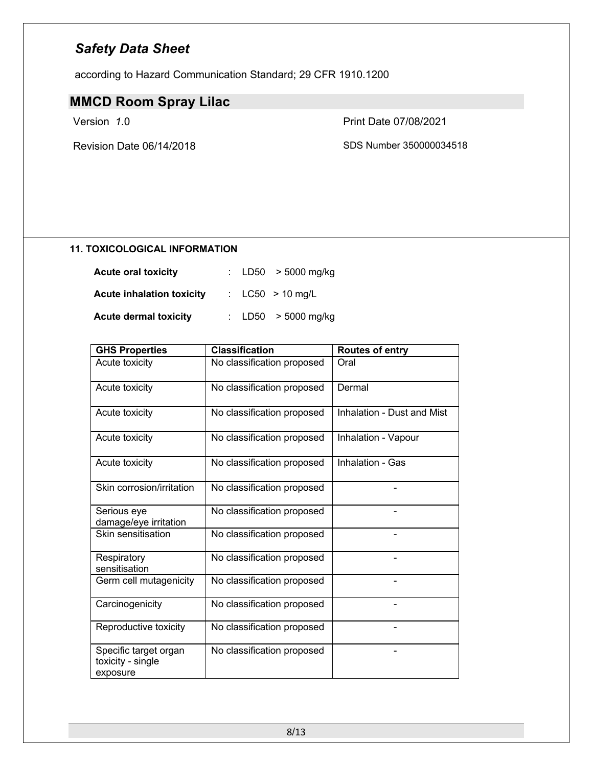according to Hazard Communication Standard; 29 CFR 1910.1200

# **MMCD Room Spray Lilac**

Revision Date 06/14/2018 SDS Number 350000034518

Version *1*.0 Print Date 07/08/2021

### **11. TOXICOLOGICAL INFORMATION**

| <b>Acute oral toxicity</b>       | : LD50 $>$ 5000 mg/kg |  |
|----------------------------------|-----------------------|--|
| <b>Acute inhalation toxicity</b> | : $LC50 > 10$ mg/L    |  |
| <b>Acute dermal toxicity</b>     | : LD50 $>$ 5000 mg/kg |  |

| <b>GHS Properties</b>                                  | <b>Classification</b>      | <b>Routes of entry</b>     |
|--------------------------------------------------------|----------------------------|----------------------------|
| Acute toxicity                                         | No classification proposed | Oral                       |
| Acute toxicity                                         | No classification proposed | Dermal                     |
| Acute toxicity                                         | No classification proposed | Inhalation - Dust and Mist |
| Acute toxicity                                         | No classification proposed | Inhalation - Vapour        |
| Acute toxicity                                         | No classification proposed | Inhalation - Gas           |
| Skin corrosion/irritation                              | No classification proposed |                            |
| Serious eye<br>damage/eye irritation                   | No classification proposed |                            |
| Skin sensitisation                                     | No classification proposed |                            |
| Respiratory<br>sensitisation                           | No classification proposed |                            |
| Germ cell mutagenicity                                 | No classification proposed |                            |
| Carcinogenicity                                        | No classification proposed |                            |
| Reproductive toxicity                                  | No classification proposed |                            |
| Specific target organ<br>toxicity - single<br>exposure | No classification proposed |                            |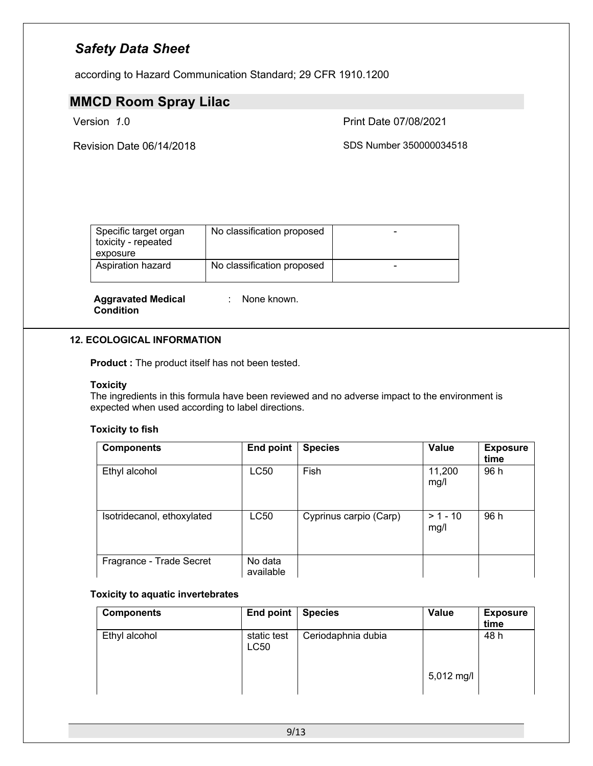according to Hazard Communication Standard; 29 CFR 1910.1200

### **MMCD Room Spray Lilac**

Version *1*.0 Print Date 07/08/2021

Revision Date 06/14/2018 SDS Number 350000034518

| Specific target organ<br>toxicity - repeated<br>exposure | No classification proposed |  |
|----------------------------------------------------------|----------------------------|--|
| Aspiration hazard                                        | No classification proposed |  |

**Aggravated Medical Condition**

: None known.

#### **12. ECOLOGICAL INFORMATION**

**Product :** The product itself has not been tested.

#### **Toxicity**

The ingredients in this formula have been reviewed and no adverse impact to the environment is expected when used according to label directions.

### **Toxicity to fish**

| <b>Components</b>          | <b>End point</b>     | <b>Species</b>         | Value              | <b>Exposure</b><br>time |
|----------------------------|----------------------|------------------------|--------------------|-------------------------|
| Ethyl alcohol              | LC50                 | Fish                   | 11,200<br>mg/l     | 96 h                    |
| Isotridecanol, ethoxylated | LC50                 | Cyprinus carpio (Carp) | $> 1 - 10$<br>mg/l | 96 h                    |
| Fragrance - Trade Secret   | No data<br>available |                        |                    |                         |

### **Toxicity to aquatic invertebrates**

| <b>Components</b> | End point           | <b>Species</b>     | Value      | <b>Exposure</b><br>time |
|-------------------|---------------------|--------------------|------------|-------------------------|
| Ethyl alcohol     | static test<br>LC50 | Ceriodaphnia dubia | 5,012 mg/l | 48 h                    |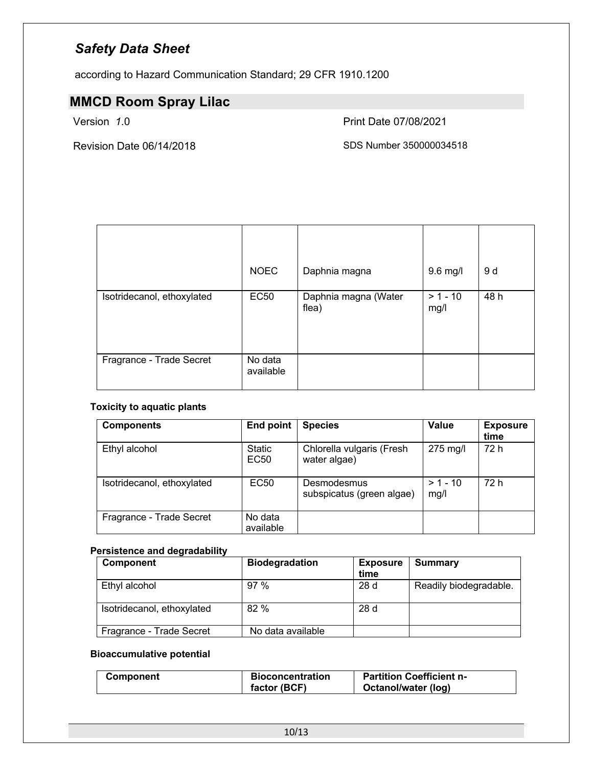according to Hazard Communication Standard; 29 CFR 1910.1200

# **MMCD Room Spray Lilac**

Version *1*.0 Print Date 07/08/2021

Revision Date 06/14/2018 SDS Number 350000034518

|                            | <b>NOEC</b>          | Daphnia magna                 | 9.6 mg/l           | 9 d  |
|----------------------------|----------------------|-------------------------------|--------------------|------|
| Isotridecanol, ethoxylated | <b>EC50</b>          | Daphnia magna (Water<br>flea) | $> 1 - 10$<br>mg/l | 48 h |
| Fragrance - Trade Secret   | No data<br>available |                               |                    |      |

### **Toxicity to aquatic plants**

| <b>Components</b>          | <b>End point</b>                  | <b>Species</b>                            | Value              | <b>Exposure</b><br>time |
|----------------------------|-----------------------------------|-------------------------------------------|--------------------|-------------------------|
| Ethyl alcohol              | <b>Static</b><br>EC <sub>50</sub> | Chlorella vulgaris (Fresh<br>water algae) | 275 mg/l           | 72 h                    |
| Isotridecanol, ethoxylated | <b>EC50</b>                       | Desmodesmus<br>subspicatus (green algae)  | $> 1 - 10$<br>mg/l | 72 h                    |
| Fragrance - Trade Secret   | No data<br>available              |                                           |                    |                         |

### **Persistence and degradability**

| Component                  | <b>Biodegradation</b> | <b>Exposure</b><br>time | <b>Summary</b>         |
|----------------------------|-----------------------|-------------------------|------------------------|
| Ethyl alcohol              | 97%                   | 28d                     | Readily biodegradable. |
| Isotridecanol, ethoxylated | 82%                   | 28d                     |                        |
| Fragrance - Trade Secret   | No data available     |                         |                        |

### **Bioaccumulative potential**

| Component | Bioconcentration | <b>Partition Coefficient n-</b> |
|-----------|------------------|---------------------------------|
|           | factor (BCF)     | Octanol/water (log)             |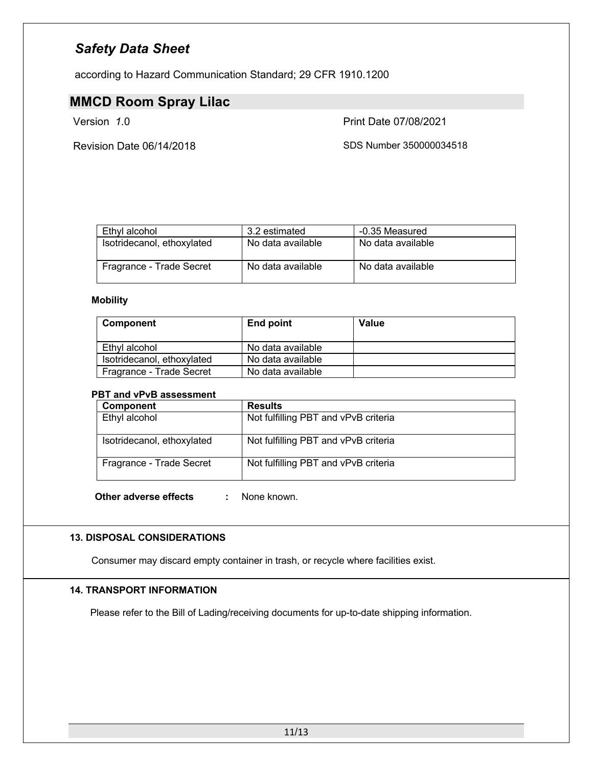according to Hazard Communication Standard; 29 CFR 1910.1200

### **MMCD Room Spray Lilac**

Version *1*.0 Print Date 07/08/2021

Revision Date 06/14/2018 SDS Number 350000034518

| Ethyl alcohol              | 3.2 estimated     | -0.35 Measured    |
|----------------------------|-------------------|-------------------|
| Isotridecanol, ethoxylated | No data available | No data available |
| Fragrance - Trade Secret   | No data available | No data available |

### **Mobility**

| <b>Component</b>           | End point         | Value |
|----------------------------|-------------------|-------|
| Ethyl alcohol              | No data available |       |
| Isotridecanol, ethoxylated | No data available |       |
| Fragrance - Trade Secret   | No data available |       |

### **PBT and vPvB assessment**

| <b>Component</b>           | <b>Results</b>                       |
|----------------------------|--------------------------------------|
| Ethyl alcohol              | Not fulfilling PBT and vPvB criteria |
| Isotridecanol, ethoxylated | Not fulfilling PBT and vPvB criteria |
| Fragrance - Trade Secret   | Not fulfilling PBT and vPvB criteria |

**Other adverse effects :** None known.

### **13. DISPOSAL CONSIDERATIONS**

Consumer may discard empty container in trash, or recycle where facilities exist.

### **14. TRANSPORT INFORMATION**

Please refer to the Bill of Lading/receiving documents for up-to-date shipping information.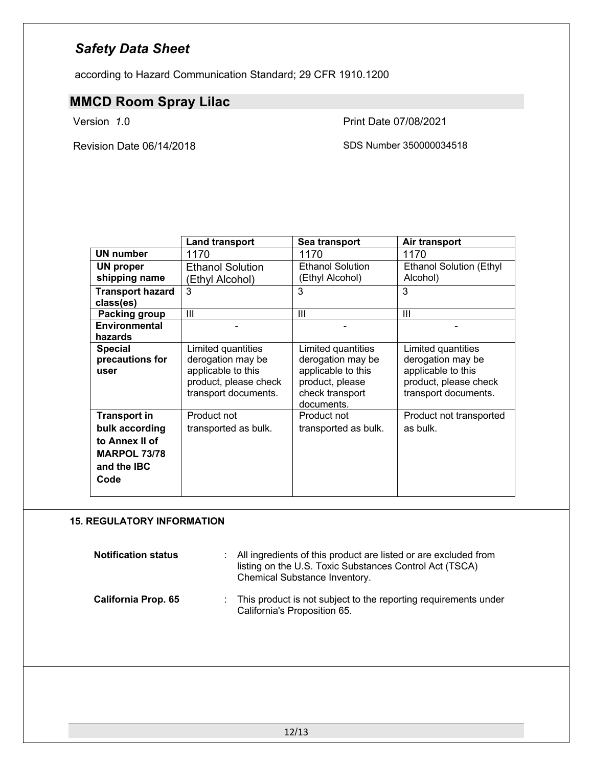according to Hazard Communication Standard; 29 CFR 1910.1200

# **MMCD Room Spray Lilac**

Revision Date 06/14/2018 SDS Number 350000034518

Version *1*.0 Print Date 07/08/2021

|                         | Land transport          | Sea transport           | Air transport                  |
|-------------------------|-------------------------|-------------------------|--------------------------------|
| <b>UN</b> number        | 1170                    | 1170                    | 1170                           |
| UN proper               | <b>Ethanol Solution</b> | <b>Ethanol Solution</b> | <b>Ethanol Solution (Ethyl</b> |
| shipping name           | (Ethyl Alcohol)         | (Ethyl Alcohol)         | Alcohol)                       |
| <b>Transport hazard</b> | 3                       | 3                       | 3                              |
| class(es)               |                         |                         |                                |
| Packing group           | Ш                       | Ш                       | Ш                              |
| Environmental           |                         |                         |                                |
| hazards                 |                         |                         |                                |
| <b>Special</b>          | Limited quantities      | Limited quantities      | Limited quantities             |
| precautions for         | derogation may be       | derogation may be       | derogation may be              |
| user                    | applicable to this      | applicable to this      | applicable to this             |
|                         | product, please check   | product, please         | product, please check          |
|                         | transport documents.    | check transport         | transport documents.           |
|                         |                         | documents.              |                                |
| <b>Transport in</b>     | Product not             | Product not             | Product not transported        |
| bulk according          | transported as bulk.    | transported as bulk.    | as bulk.                       |
| to Annex II of          |                         |                         |                                |
| <b>MARPOL 73/78</b>     |                         |                         |                                |
| and the <b>IBC</b>      |                         |                         |                                |
| Code                    |                         |                         |                                |
|                         |                         |                         |                                |

### **15. REGULATORY INFORMATION**

| <b>Notification status</b> | All ingredients of this product are listed or are excluded from<br>listing on the U.S. Toxic Substances Control Act (TSCA)<br>Chemical Substance Inventory. |
|----------------------------|-------------------------------------------------------------------------------------------------------------------------------------------------------------|
| <b>California Prop. 65</b> | : This product is not subject to the reporting requirements under<br>California's Proposition 65.                                                           |